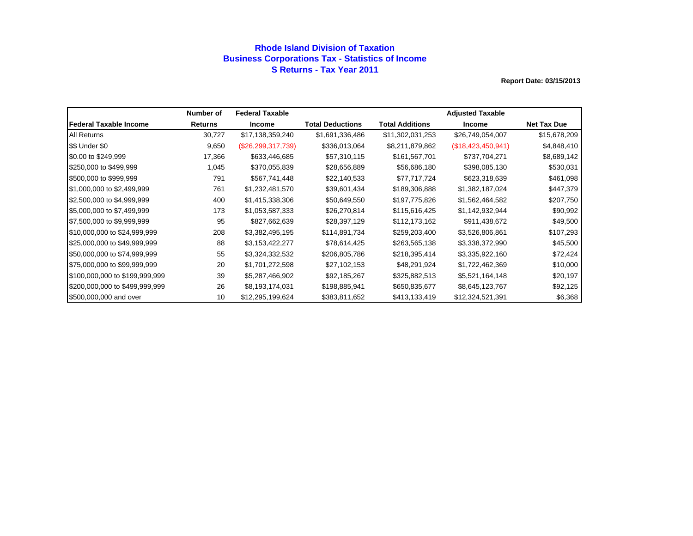## **Rhode Island Division of Taxation Business Corporations Tax - Statistics of Income S Returns - Tax Year 2011**

|                                | Number of      | <b>Federal Taxable</b> |                         |                  | <b>Adjusted Taxable</b> |                    |
|--------------------------------|----------------|------------------------|-------------------------|------------------|-------------------------|--------------------|
| <b>IFederal Taxable Income</b> | <b>Returns</b> | <b>Income</b>          | <b>Total Deductions</b> | Total Additions  | <b>Income</b>           | <b>Net Tax Due</b> |
| <b>All Returns</b>             | 30,727         | \$17,138,359,240       | \$1,691,336,486         | \$11,302,031,253 | \$26,749,054,007        | \$15,678,209       |
| \$\$ Under \$0                 | 9,650          | $(\$26,299,317,739)$   | \$336,013,064           | \$8,211,879,862  | (\$18,423,450,941)      | \$4,848,410        |
| \$0.00 to \$249,999            | 17,366         | \$633,446,685          | \$57,310,115            | \$161,567,701    | \$737,704,271           | \$8,689,142        |
| \$250,000 to \$499,999         | 1,045          | \$370,055,839          | \$28,656,889            | \$56,686,180     | \$398,085,130           | \$530,031          |
| \$500,000 to \$999,999         | 791            | \$567,741,448          | \$22,140,533            | \$77,717,724     | \$623,318,639           | \$461,098          |
| \$1,000,000 to \$2,499,999     | 761            | \$1,232,481,570        | \$39,601,434            | \$189,306,888    | \$1,382,187,024         | \$447,379          |
| \$2,500,000 to \$4,999,999     | 400            | \$1,415,338,306        | \$50,649,550            | \$197,775,826    | \$1,562,464,582         | \$207,750          |
| \$5,000,000 to \$7,499,999     | 173            | \$1,053,587,333        | \$26,270,814            | \$115,616,425    | \$1,142,932,944         | \$90,992           |
| \$7,500,000 to \$9,999,999     | 95             | \$827,662,639          | \$28,397,129            | \$112,173,162    | \$911,438,672           | \$49,500           |
| \$10,000,000 to \$24,999,999   | 208            | \$3,382,495,195        | \$114,891,734           | \$259,203,400    | \$3,526,806,861         | \$107,293          |
| \$25,000,000 to \$49,999,999   | 88             | \$3,153,422,277        | \$78,614,425            | \$263,565,138    | \$3,338,372,990         | \$45,500           |
| \$50,000,000 to \$74,999,999   | 55             | \$3,324,332,532        | \$206,805,786           | \$218,395,414    | \$3,335,922,160         | \$72,424           |
| \$75,000,000 to \$99,999,999   | 20             | \$1,701,272,598        | \$27,102,153            | \$48,291,924     | \$1,722,462,369         | \$10,000           |
| \$100,000,000 to \$199,999,999 | 39             | \$5,287,466,902        | \$92,185,267            | \$325,882,513    | \$5,521,164,148         | \$20,197           |
| \$200,000,000 to \$499,999,999 | 26             | \$8,193,174,031        | \$198,885,941           | \$650,835,677    | \$8,645,123,767         | \$92,125           |
| \$500,000,000 and over         | 10             | \$12,295,199,624       | \$383,811,652           | \$413,133,419    | \$12,324,521,391        | \$6,368            |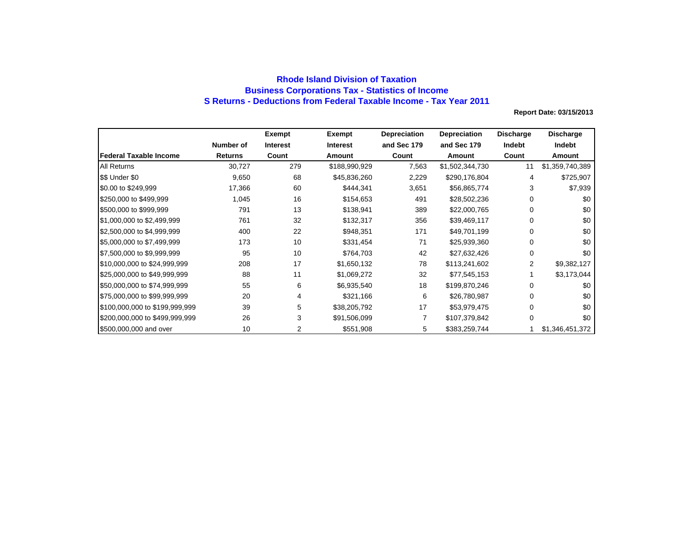## **Rhode Island Division of Taxation Business Corporations Tax - Statistics of Income S Returns - Deductions from Federal Taxable Income - Tax Year 2011**

|                                |                | Exempt          | Exempt        | <b>Depreciation</b> | <b>Depreciation</b> | <b>Discharge</b> | <b>Discharge</b> |
|--------------------------------|----------------|-----------------|---------------|---------------------|---------------------|------------------|------------------|
|                                | Number of      | <b>Interest</b> | Interest      | and Sec 179         | and Sec 179         | Indebt           | Indebt           |
| <b>IFederal Taxable Income</b> | <b>Returns</b> | Count           | Amount        | Count               | Amount              | Count            | Amount           |
| <b>All Returns</b>             | 30,727         | 279             | \$188,990,929 | 7,563               | \$1,502,344,730     | 11               | \$1,359,740,389  |
| S\$ Under \$0                  | 9,650          | 68              | \$45,836,260  | 2,229               | \$290,176,804       | 4                | \$725,907        |
| \$0.00 to \$249,999            | 17,366         | 60              | \$444,341     | 3,651               | \$56,865,774        | 3                | \$7,939          |
| \$250,000 to \$499,999         | 1,045          | 16              | \$154,653     | 491                 | \$28,502,236        | 0                | \$0              |
| \$500,000 to \$999,999         | 791            | 13              | \$138,941     | 389                 | \$22,000,765        | 0                | \$0              |
| \$1,000,000 to \$2,499,999     | 761            | 32              | \$132,317     | 356                 | \$39,469,117        | 0                | \$0              |
| \$2,500,000 to \$4,999,999     | 400            | 22              | \$948,351     | 171                 | \$49,701,199        | 0                | \$0              |
| \$5,000,000 to \$7,499,999     | 173            | 10              | \$331,454     | 71                  | \$25,939,360        | 0                | \$0              |
| \$7,500,000 to \$9,999,999     | 95             | 10              | \$764,703     | 42                  | \$27,632,426        | 0                | \$0              |
| \$10,000,000 to \$24,999,999   | 208            | 17              | \$1,650,132   | 78                  | \$113,241,602       | 2                | \$9,382,127      |
| \$25,000,000 to \$49,999,999   | 88             | 11              | \$1,069,272   | 32                  | \$77,545,153        |                  | \$3,173,044      |
| \$50,000,000 to \$74,999,999   | 55             | 6               | \$6,935,540   | 18                  | \$199,870,246       | 0                | \$0              |
| \$75,000,000 to \$99,999,999   | 20             | 4               | \$321,166     | 6                   | \$26,780,987        | 0                | \$0              |
| \$100,000,000 to \$199,999,999 | 39             | 5               | \$38,205,792  | 17                  | \$53,979,475        | 0                | \$0              |
| \$200,000,000 to \$499,999,999 | 26             | 3               | \$91,506,099  | 7                   | \$107,379,842       | $\Omega$         | \$0              |
| \$500,000,000 and over         | 10             | 2               | \$551,908     | 5                   | \$383,259,744       |                  | \$1,346,451,372  |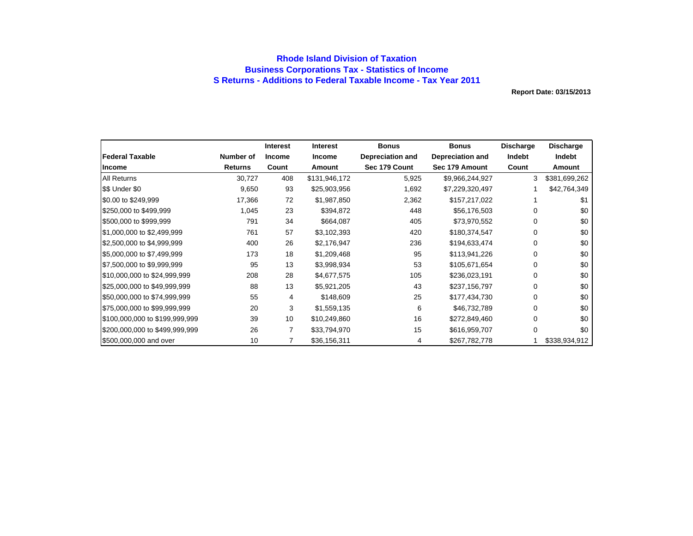## **Rhode Island Division of Taxation Business Corporations Tax - Statistics of Income S Returns - Additions to Federal Taxable Income - Tax Year 2011**

|                                |                | <b>Interest</b> | <b>Interest</b> | <b>Bonus</b>            | <b>Bonus</b>            | Discharge | <b>Discharge</b> |
|--------------------------------|----------------|-----------------|-----------------|-------------------------|-------------------------|-----------|------------------|
| <b>Federal Taxable</b>         | Number of      | <b>Income</b>   | <b>Income</b>   | <b>Depreciation and</b> | <b>Depreciation and</b> | Indebt    | Indebt           |
| <b>Income</b>                  | <b>Returns</b> | Count           | Amount          | Sec 179 Count           | Sec 179 Amount          | Count     | Amount           |
| <b>All Returns</b>             | 30,727         | 408             | \$131,946,172   | 5,925                   | \$9,966,244,927         | 3         | \$381,699,262    |
| \$\$ Under \$0                 | 9,650          | 93              | \$25,903,956    | 1,692                   | \$7,229,320,497         |           | \$42,764,349     |
| \$0.00 to \$249,999            | 17,366         | 72              | \$1,987,850     | 2,362                   | \$157,217,022           |           | \$1              |
| \$250,000 to \$499,999         | 1,045          | 23              | \$394,872       | 448                     | \$56,176,503            | 0         | \$0              |
| \$500,000 to \$999,999         | 791            | 34              | \$664,087       | 405                     | \$73,970,552            | 0         | \$0              |
| \$1,000,000 to \$2,499,999     | 761            | 57              | \$3,102,393     | 420                     | \$180,374,547           | 0         | \$0              |
| \$2,500,000 to \$4,999,999     | 400            | 26              | \$2,176,947     | 236                     | \$194,633,474           | 0         | \$0              |
| \$5,000,000 to \$7,499,999     | 173            | 18              | \$1,209,468     | 95                      | \$113,941,226           | 0         | \$0              |
| \$7,500,000 to \$9,999,999     | 95             | 13              | \$3,998,934     | 53                      | \$105,671,654           | 0         | \$0              |
| \$10,000,000 to \$24,999,999   | 208            | 28              | \$4,677,575     | 105                     | \$236,023,191           | 0         | \$0              |
| \$25,000,000 to \$49,999,999   | 88             | 13              | \$5,921,205     | 43                      | \$237,156,797           | 0         | \$0              |
| \$50,000,000 to \$74,999,999   | 55             | 4               | \$148,609       | 25                      | \$177,434,730           | 0         | \$0              |
| \$75,000,000 to \$99,999,999   | 20             | 3               | \$1,559,135     | 6                       | \$46,732,789            | 0         | \$0              |
| \$100,000,000 to \$199,999,999 | 39             | 10              | \$10,249,860    | 16                      | \$272,849,460           | 0         | \$0              |
| \$200,000,000 to \$499,999,999 | 26             | 7               | \$33,794,970    | 15                      | \$616,959,707           | 0         | \$0              |
| \$500,000,000 and over         | 10             |                 | \$36,156,311    | 4                       | \$267,782,778           |           | \$338,934,912    |